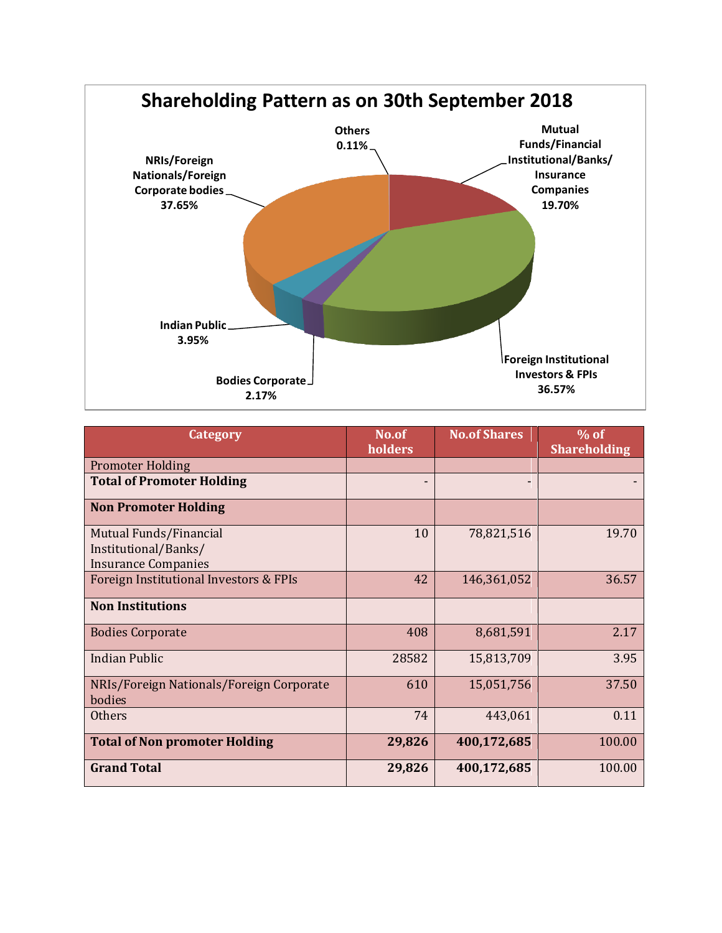

| Category                                                                     | No.of<br>holders | <b>No.of Shares</b> | $\%$ of<br><b>Shareholding</b> |
|------------------------------------------------------------------------------|------------------|---------------------|--------------------------------|
| <b>Promoter Holding</b>                                                      |                  |                     |                                |
| <b>Total of Promoter Holding</b>                                             |                  |                     |                                |
| <b>Non Promoter Holding</b>                                                  |                  |                     |                                |
| Mutual Funds/Financial<br>Institutional/Banks/<br><b>Insurance Companies</b> | 10               | 78,821,516          | 19.70                          |
| Foreign Institutional Investors & FPIs                                       | 42               | 146,361,052         | 36.57                          |
| <b>Non Institutions</b>                                                      |                  |                     |                                |
| <b>Bodies Corporate</b>                                                      | 408              | 8,681,591           | 2.17                           |
| <b>Indian Public</b>                                                         | 28582            | 15,813,709          | 3.95                           |
| NRIs/Foreign Nationals/Foreign Corporate<br>bodies                           | 610              | 15,051,756          | 37.50                          |
| <b>Others</b>                                                                | 74               | 443,061             | 0.11                           |
| <b>Total of Non promoter Holding</b>                                         | 29,826           | 400,172,685         | 100.00                         |
| <b>Grand Total</b>                                                           | 29,826           | 400,172,685         | 100.00                         |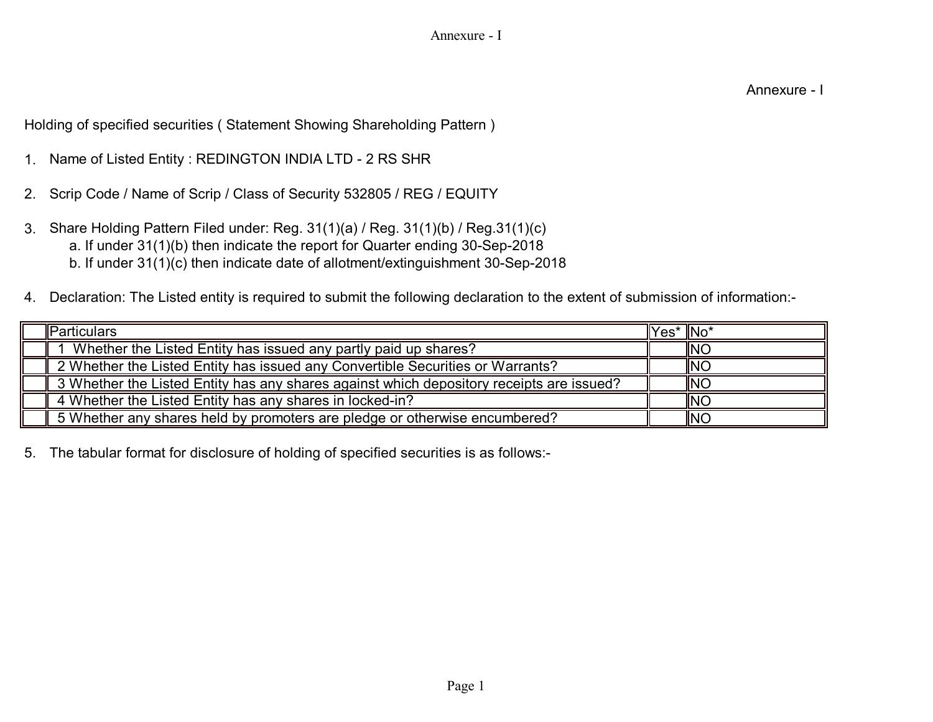Holding of specified securities ( Statement Showing Shareholding Pattern )

- 1. Name of Listed Entity : REDINGTON INDIA LTD 2 RS SHR
- 2. Scrip Code / Name of Scrip / Class of Security 532805 / REG / EQUITY
- 3. Share Holding Pattern Filed under: Reg. 31(1)(a) / Reg. 31(1)(b) / Reg.31(1)(c) a. If under 31(1)(b) then indicate the report for Quarter ending 30-Sep-2018 b. If under 31(1)(c) then indicate date of allotment/extinguishment 30-Sep-2018
- 4. Declaration: The Listed entity is required to submit the following declaration to the extent of submission of information:-

| <b>I</b> Particulars                                                                     | $\parallel$ Yes $*$ $\parallel$ No $*$ |                |
|------------------------------------------------------------------------------------------|----------------------------------------|----------------|
| Whether the Listed Entity has issued any partly paid up shares?                          |                                        | <b>INC</b>     |
| 2 Whether the Listed Entity has issued any Convertible Securities or Warrants?           |                                        | <b>INC</b>     |
| 3 Whether the Listed Entity has any shares against which depository receipts are issued? |                                        | $\parallel$ NC |
| 4 Whether the Listed Entity has any shares in locked-in?                                 |                                        | <b>INC</b>     |
| 5 Whether any shares held by promoters are pledge or otherwise encumbered?               |                                        | <b>INC</b>     |

5. The tabular format for disclosure of holding of specified securities is as follows:-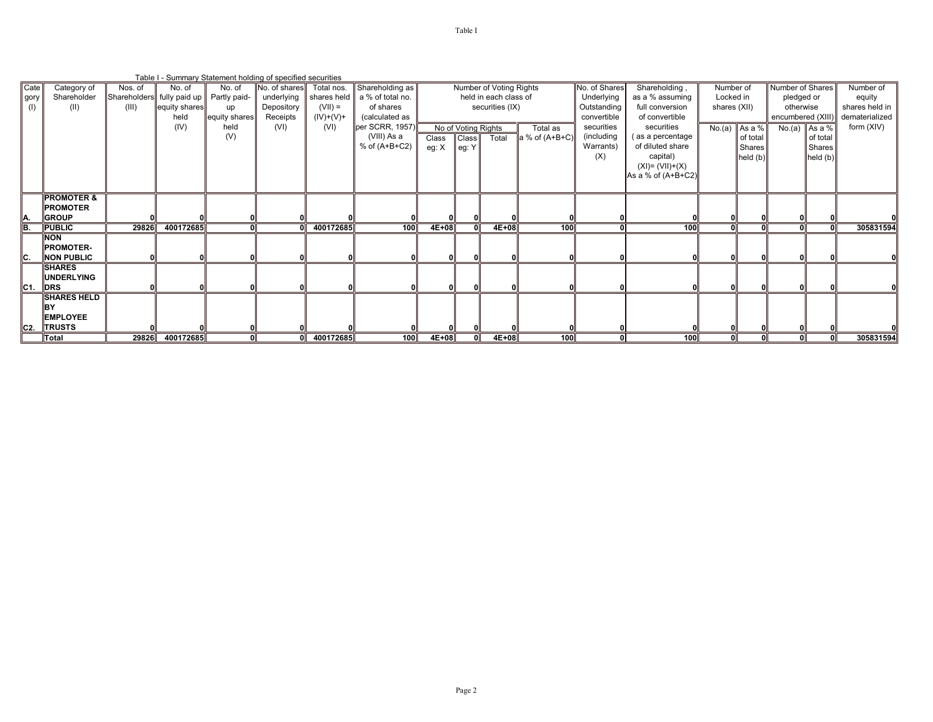|                 |                       |         | Table I - Summary Statement holding of specified securities |               |               |             |                  |              |                     |                         |                |               |                    |              |                 |                   |                 |                |
|-----------------|-----------------------|---------|-------------------------------------------------------------|---------------|---------------|-------------|------------------|--------------|---------------------|-------------------------|----------------|---------------|--------------------|--------------|-----------------|-------------------|-----------------|----------------|
| Cate            | Category of           | Nos. of | No. of                                                      | No. of        | No. of shares | Total nos.  | Shareholding as  |              |                     | Number of Voting Rights |                | No. of Shares | Shareholding,      | Number of    |                 | Number of Shares  |                 | Number of      |
| gory            | Shareholder           |         | Shareholders fully paid up Partly paid-                     |               | underlying    | shares held | a % of total no. |              |                     | held in each class of   |                | Underlying    | as a % assuming    | Locked in    |                 | pledged or        |                 | equity         |
| (1)             | (II)                  | (III)   | equity shares                                               | up            | Depository    | $(VII) =$   | of shares        |              |                     | securities (IX)         |                | Outstanding   | full conversion    | shares (XII) |                 | otherwise         |                 | shares held in |
|                 |                       |         | held                                                        | equity shares | Receipts      | $(IV)+(V)+$ | (calculated as   |              |                     |                         |                | convertible   | of convertible     |              |                 | encumbered (XIII) |                 | dematerialized |
|                 |                       |         | (IV)                                                        | held          | (VI)          | (VI)        | per SCRR, 1957)  |              | No of Voting Rights |                         | Total as       | securities    | securities         |              | No.(a) $As a %$ |                   | $No.(a)$ As a % | form (XIV)     |
|                 |                       |         |                                                             | (V)           |               |             | (VIII) As a      | <b>Class</b> | <b>Class</b>        | Total                   | a % of (A+B+C) | (including    | as a percentage    |              | of total        |                   | of total        |                |
|                 |                       |         |                                                             |               |               |             | $%$ of (A+B+C2)  | eg: $X$      | eg: Y               |                         |                | Warrants)     | of diluted share   |              | Shares          |                   | <b>Shares</b>   |                |
|                 |                       |         |                                                             |               |               |             |                  |              |                     |                         |                | (X)           | capital)           |              | held $(b)$      |                   | held $(b)$      |                |
|                 |                       |         |                                                             |               |               |             |                  |              |                     |                         |                |               | $(XI) = (VII)+(X)$ |              |                 |                   |                 |                |
|                 |                       |         |                                                             |               |               |             |                  |              |                     |                         |                |               | As a % of (A+B+C2) |              |                 |                   |                 |                |
|                 |                       |         |                                                             |               |               |             |                  |              |                     |                         |                |               |                    |              |                 |                   |                 |                |
|                 | <b>PROMOTER &amp;</b> |         |                                                             |               |               |             |                  |              |                     |                         |                |               |                    |              |                 |                   |                 |                |
|                 | <b>PROMOTER</b>       |         |                                                             |               |               |             |                  |              |                     |                         |                |               |                    |              |                 |                   |                 |                |
| IA.             | <b>GROUP</b>          |         |                                                             |               |               |             |                  |              |                     |                         |                |               |                    |              |                 |                   |                 |                |
| ĪB.             | <b>PUBLIC</b>         | 29826   | 400172685                                                   |               |               | 400172685   | 100              | $4E+08$      |                     | $4E+08$                 | 100            |               | 100                |              |                 |                   |                 | 305831594      |
|                 | <b>NON</b>            |         |                                                             |               |               |             |                  |              |                     |                         |                |               |                    |              |                 |                   |                 |                |
|                 | <b>PROMOTER-</b>      |         |                                                             |               |               |             |                  |              |                     |                         |                |               |                    |              |                 |                   |                 |                |
| IC.             | <b>NON PUBLIC</b>     |         |                                                             |               |               |             |                  |              |                     |                         |                |               |                    |              |                 |                   |                 |                |
|                 | <b>ISHARES</b>        |         |                                                             |               |               |             |                  |              |                     |                         |                |               |                    |              |                 |                   |                 |                |
|                 | <b>UNDERLYING</b>     |         |                                                             |               |               |             |                  |              |                     |                         |                |               |                    |              |                 |                   |                 |                |
| $ C1$ .         | DRS                   |         |                                                             |               |               |             |                  |              |                     |                         |                |               |                    |              |                 |                   |                 |                |
|                 | <b>SHARES HELD</b>    |         |                                                             |               |               |             |                  |              |                     |                         |                |               |                    |              |                 |                   |                 |                |
|                 | lBY.                  |         |                                                             |               |               |             |                  |              |                     |                         |                |               |                    |              |                 |                   |                 |                |
|                 | <b>EMPLOYEE</b>       |         |                                                             |               |               |             |                  |              |                     |                         |                |               |                    |              |                 |                   |                 |                |
| IC <sub>2</sub> | <b>TRUSTS</b>         |         |                                                             |               |               |             |                  |              |                     |                         |                |               |                    |              |                 |                   |                 |                |
|                 | Total                 |         | 29826 400172685                                             |               |               | 400172685   | 100              | $4E+08$      |                     | 4E+08                   | 100            |               | 100                |              |                 |                   |                 | 305831594      |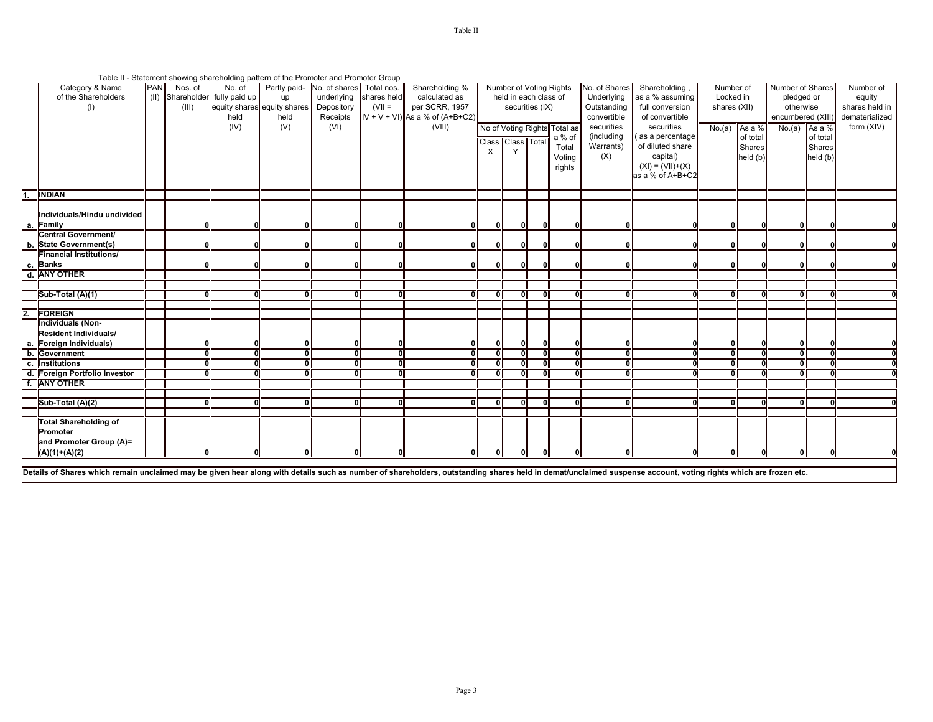|    | Table II - Statement showing shareholding pattern of the Promoter and Promoter Group |            |         |                                |      |                                       |             |                                    |                         |                         |     |                              |               |                    |               |          |                   |                 |                |
|----|--------------------------------------------------------------------------------------|------------|---------|--------------------------------|------|---------------------------------------|-------------|------------------------------------|-------------------------|-------------------------|-----|------------------------------|---------------|--------------------|---------------|----------|-------------------|-----------------|----------------|
|    | Category & Name                                                                      | <b>PAN</b> | Nos. of | No. of                         |      | Partly paid- No. of shares Total nos. |             | Shareholding %                     |                         | Number of Voting Rights |     |                              | No. of Shares | Shareholding       | Number of     |          | Number of Shares  |                 | Number of      |
|    | of the Shareholders                                                                  |            |         | (II) Shareholder fully paid up | up   | underlying                            | shares held | calculated as                      |                         | held in each class of   |     |                              | Underlying    | as a % assuming    | Locked in     |          | pledged or        |                 | equity         |
|    | (1)                                                                                  |            | (III)   | equity shares equity shares    |      | Depository                            | $(VII =$    | per SCRR, 1957                     |                         | securities (IX)         |     |                              | Outstanding   | full conversion    | shares (XII)  |          | otherwise         |                 | shares held in |
|    |                                                                                      |            |         | held                           | held | Receipts                              |             | $  V + V + V  $ As a % of (A+B+C2) |                         |                         |     |                              | convertible   | of convertible     |               |          | encumbered (XIII) |                 | dematerialized |
|    |                                                                                      |            |         | (IV)                           | (V)  | (VI)                                  |             | (VIII)                             |                         |                         |     | No of Voting Rights Total as | securities    | securities         | No.(a) As a % |          |                   | No.(a) As a $%$ | form (XIV)     |
|    |                                                                                      |            |         |                                |      |                                       |             |                                    |                         |                         |     | a % of                       | (including    | as a percentage    |               | of total |                   | of total        |                |
|    |                                                                                      |            |         |                                |      |                                       |             |                                    | Class Class Total       |                         |     | Total                        | Warrants)     | of diluted share   |               | Shares   |                   | Shares          |                |
|    |                                                                                      |            |         |                                |      |                                       |             |                                    |                         |                         |     | Voting                       | (X)           | capital)           |               | held(b)  |                   | held (b)        |                |
|    |                                                                                      |            |         |                                |      |                                       |             |                                    |                         |                         |     | rights                       |               | $(XI) = (VII)+(X)$ |               |          |                   |                 |                |
|    |                                                                                      |            |         |                                |      |                                       |             |                                    |                         |                         |     |                              |               | as a % of A+B+C2   |               |          |                   |                 |                |
|    |                                                                                      |            |         |                                |      |                                       |             |                                    |                         |                         |     |                              |               |                    |               |          |                   |                 |                |
| 1. | <b>INDIAN</b>                                                                        |            |         |                                |      |                                       |             |                                    |                         |                         |     |                              |               |                    |               |          |                   |                 |                |
|    | Individuals/Hindu undivided                                                          |            |         |                                |      |                                       |             |                                    |                         |                         |     |                              |               |                    |               |          |                   |                 |                |
|    | a. Family                                                                            |            |         |                                | ΩI   |                                       |             |                                    |                         | $\Omega$                | 0   |                              |               |                    | 0             | n        |                   |                 |                |
|    | <b>Central Government/</b>                                                           |            |         |                                |      |                                       |             |                                    |                         |                         |     |                              |               |                    |               |          |                   |                 |                |
|    | b. State Government(s)                                                               |            |         |                                | ΟI   |                                       | O           | ωı                                 |                         | O                       | 0l  |                              |               |                    | $\mathbf{0}$  |          |                   |                 |                |
|    | <b>Financial Institutions/</b>                                                       |            |         |                                |      |                                       |             |                                    |                         |                         |     |                              |               |                    |               |          |                   |                 |                |
|    | c. Banks                                                                             |            |         |                                | ΩI   |                                       |             |                                    |                         |                         |     |                              |               |                    | $\Omega$      |          |                   |                 |                |
|    | d. ANY OTHER                                                                         |            |         |                                |      |                                       |             |                                    |                         |                         |     |                              |               |                    |               |          |                   |                 |                |
|    |                                                                                      |            |         |                                |      |                                       |             |                                    |                         |                         |     |                              |               |                    |               |          |                   |                 |                |
|    | Sub-Total (A)(1)                                                                     |            |         | Ωl                             | οl   | $\Omega$                              | $\Omega$    | ΩI                                 | $\Omega$                | Ωl                      | - 0 | οl                           | $\Omega$      |                    | 0             | ΩI       | ΩI                | 01              |                |
|    |                                                                                      |            |         |                                |      |                                       |             |                                    |                         |                         |     |                              |               |                    |               |          |                   |                 |                |
|    | 2. FOREIGN                                                                           |            |         |                                |      |                                       |             |                                    |                         |                         |     |                              |               |                    |               |          |                   |                 |                |
|    | Individuals (Non-                                                                    |            |         |                                |      |                                       |             |                                    |                         |                         |     |                              |               |                    |               |          |                   |                 |                |
|    | Resident Individuals/                                                                |            |         |                                |      |                                       |             |                                    |                         |                         |     |                              |               |                    |               |          |                   |                 |                |
|    | a. Foreign Individuals)                                                              |            |         |                                | 01   |                                       | n           |                                    | 01                      | 0                       | 01  | 01                           |               |                    | $\mathbf{0}$  |          | 0                 | 0               |                |
|    | b. Government                                                                        |            |         | σI                             | न    | $\overline{0}$                        | ᅙ           | ᇭ                                  | $\overline{\mathbf{0}}$ | 0l                      | ō   | न                            | $\Omega$      |                    | ᠗             | ᅃ        | ᠗                 | ᅃ               |                |
|    | c. Institutions                                                                      |            |         | ΩI                             | ōĪ   | $\Omega$                              | $\Omega$    | 0                                  |                         | $\Omega$                | 0   | न                            | $\mathbf{r}$  |                    | $\Omega$      | Û        | $\Omega$          | $\mathbf{0}$    | Οl             |
|    | d. Foreign Portfolio Investor                                                        |            |         | ΩI                             | ग    | 0                                     | ΩI          | ਗ                                  | Ω                       | Ωl                      | ō   | оT                           | $\Omega$      |                    | 0             | $\Omega$ | $\Omega$          | 0               | ᅃ              |
|    | f. ANY OTHER                                                                         |            |         |                                |      |                                       |             |                                    |                         |                         |     |                              |               |                    |               |          |                   |                 |                |
|    |                                                                                      |            |         |                                |      |                                       |             |                                    |                         |                         |     |                              |               |                    |               |          |                   |                 |                |
|    | Sub-Total (A)(2)                                                                     |            |         |                                | οl   |                                       | n           | ωı                                 |                         |                         | n   | ΩI                           | $\Omega$      |                    | n             |          |                   |                 |                |
|    |                                                                                      |            |         |                                |      |                                       |             |                                    |                         |                         |     |                              |               |                    |               |          |                   |                 |                |
|    | <b>Total Shareholding of</b>                                                         |            |         |                                |      |                                       |             |                                    |                         |                         |     |                              |               |                    |               |          |                   |                 |                |
|    | Promoter                                                                             |            |         |                                |      |                                       |             |                                    |                         |                         |     |                              |               |                    |               |          |                   |                 |                |
|    | and Promoter Group (A)=                                                              |            |         |                                |      |                                       |             |                                    |                         |                         |     |                              |               |                    |               |          |                   |                 |                |
|    | $(A)(1)+(A)(2)$                                                                      |            |         |                                |      |                                       |             |                                    |                         |                         |     |                              |               |                    |               |          |                   |                 |                |

Details of Shares which remain unclaimed may be given hear along with details such as number of shareholders, outstanding shares held in demat/unclaimed suspense account, voting rights which are frozen etc.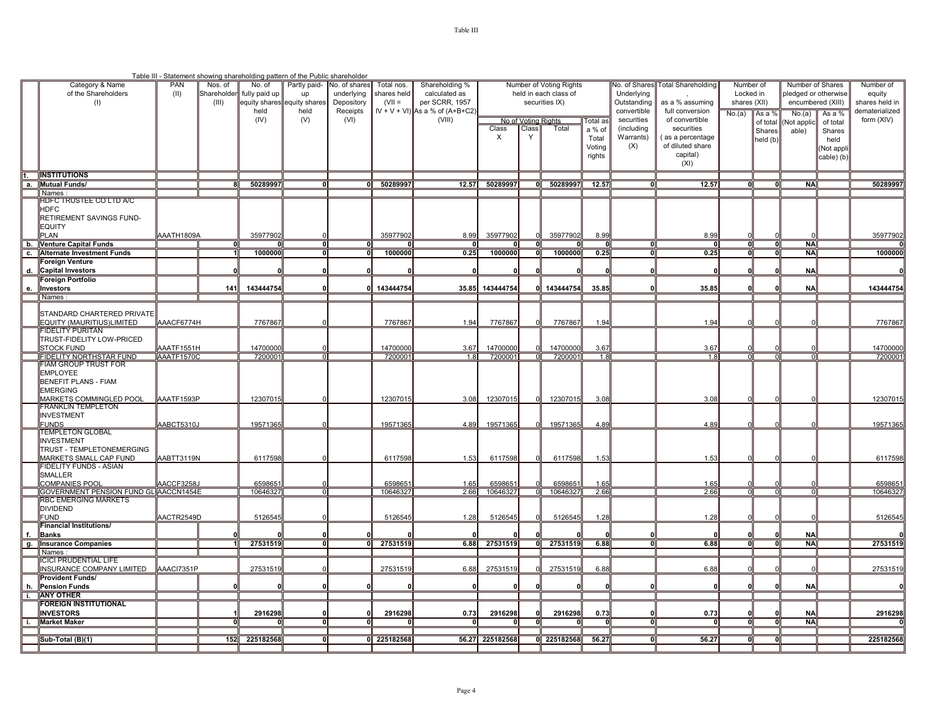|           |                                                                |                   |             | Table III - Statement showing shareholding pattern of the Public shareholder |                      |                        |                    |                                                      |                         |                     |                       |              |                            |                                    |              |                    |                        |                    |                                  |
|-----------|----------------------------------------------------------------|-------------------|-------------|------------------------------------------------------------------------------|----------------------|------------------------|--------------------|------------------------------------------------------|-------------------------|---------------------|-----------------------|--------------|----------------------------|------------------------------------|--------------|--------------------|------------------------|--------------------|----------------------------------|
|           | Category & Name                                                | PAN               | Nos. of     | No. of                                                                       | Partly paid-         | No. of shares          | Total nos.         | Shareholding %                                       | Number of Voting Rights |                     |                       |              | <b>Vo. of Shares</b>       | <b>Total Shareholding</b>          | Number of    |                    | Number of Shares       |                    | Number of                        |
|           | of the Shareholders                                            | (II)              | Shareholder | fully paid up                                                                | up                   | underlying             | shares held        | calculated as                                        |                         |                     | held in each class of |              | Underlying                 |                                    | Locked in    |                    | pledged or otherwise   |                    | equity                           |
|           | (1)                                                            |                   | (III)       | equity shares<br>held                                                        | equity share<br>held | Depository<br>Receipts | $(VII =$           | per SCRR, 1957<br>$IV + V + VI$ ) As a % of (A+B+C2) |                         |                     | securities IX)        |              | Outstanding<br>convertible | as a % assuming<br>full conversion | shares (XII) |                    | encumbered (XIII)      |                    | shares held in<br>dematerialized |
|           |                                                                |                   |             | (IV)                                                                         | (V)                  | (VI)                   |                    | (VIII)                                               |                         | No of Voting Rights |                       | Total as     | securities                 | of convertible                     | No.(a)       | As a %             | No.(a)                 | As a %             | form (XIV)                       |
|           |                                                                |                   |             |                                                                              |                      |                        |                    |                                                      | Class                   | Class               | Total                 | a % of       | (including                 | securities                         |              | of total<br>Shares | Not applio<br>able)    | of total<br>Shares |                                  |
|           |                                                                |                   |             |                                                                              |                      |                        |                    |                                                      | $\times$                | Y                   |                       | Total        | Warrants)                  | (as a percentage                   |              | held (b)           |                        | held               |                                  |
|           |                                                                |                   |             |                                                                              |                      |                        |                    |                                                      |                         |                     |                       | Voting       | (X)                        | of diluted share                   |              |                    |                        | Not appli          |                                  |
|           |                                                                |                   |             |                                                                              |                      |                        |                    |                                                      |                         |                     |                       | rights       |                            | capital)                           |              |                    |                        | cable) (b)         |                                  |
|           |                                                                |                   |             |                                                                              |                      |                        |                    |                                                      |                         |                     |                       |              |                            | (XI)                               |              |                    |                        |                    |                                  |
|           | 1. <b>INSTITUTIONS</b>                                         |                   |             |                                                                              |                      |                        |                    |                                                      |                         |                     |                       |              |                            |                                    |              |                    |                        |                    |                                  |
|           | a. Mutual Funds/                                               |                   |             | 50289997                                                                     |                      |                        | 0 50289997         | 12.57                                                | 50289997                | OII                 | 50289997              | 12.57        |                            | 12.57                              |              |                    | <b>NA</b>              |                    | 50289997                         |
|           | Names                                                          |                   |             |                                                                              |                      |                        |                    |                                                      |                         |                     |                       |              |                            |                                    |              |                    |                        |                    |                                  |
|           | IDFC TRUSTEE CO LTD A/C<br><b>HDFC</b>                         |                   |             |                                                                              |                      |                        |                    |                                                      |                         |                     |                       |              |                            |                                    |              |                    |                        |                    |                                  |
|           | RETIREMENT SAVINGS FUND-                                       |                   |             |                                                                              |                      |                        |                    |                                                      |                         |                     |                       |              |                            |                                    |              |                    |                        |                    |                                  |
|           | <b>EQUITY</b>                                                  |                   |             |                                                                              |                      |                        |                    |                                                      |                         |                     |                       |              |                            |                                    |              |                    |                        |                    |                                  |
|           | PLAN                                                           | AAATH1809A        |             | 35977902                                                                     |                      |                        | 35977902           | 8.99                                                 | 35977902                |                     | 35977902              | 8.99         |                            | 8.99                               |              |                    |                        |                    | 35977902                         |
| b.        | <b>Venture Capital Funds</b>                                   |                   |             |                                                                              |                      |                        |                    |                                                      |                         | O                   |                       |              |                            | $\mathbf{0}$                       |              |                    | <b>NA</b>              |                    |                                  |
| C.        | <b>Alternate Investment Funds</b>                              |                   |             | 1000000                                                                      |                      |                        | 1000000            | 0.25                                                 | 1000000                 | ᅃ                   | 1000000               | 0.25         |                            | 0.25                               |              |                    | <b>NA</b>              |                    | 1000000                          |
|           | Foreign Venture                                                |                   |             |                                                                              |                      |                        |                    |                                                      |                         |                     |                       |              |                            |                                    |              |                    | <b>NA</b>              |                    |                                  |
| d.        | <b>Capital Investors</b><br>Foreign Portfolio                  |                   |             |                                                                              |                      |                        |                    |                                                      |                         |                     |                       |              |                            |                                    |              |                    |                        |                    |                                  |
| е.        | Investors                                                      |                   | 141         | 143444754                                                                    |                      |                        | 143444754          |                                                      | 35.85 143444754         | ΟI                  | 143444754             | 35.85        |                            | 35.85                              |              |                    | <b>NA</b>              |                    | 143444754                        |
|           | Names:                                                         |                   |             |                                                                              |                      |                        |                    |                                                      |                         |                     |                       |              |                            |                                    |              |                    |                        |                    |                                  |
|           |                                                                |                   |             |                                                                              |                      |                        |                    |                                                      |                         |                     |                       |              |                            |                                    |              |                    |                        |                    |                                  |
|           | STANDARD CHARTERED PRIVATE                                     |                   |             |                                                                              |                      |                        |                    |                                                      |                         |                     |                       |              |                            |                                    |              |                    |                        |                    |                                  |
|           | EQUITY (MAURITIUS)LIMITED                                      | AAACF6774H        |             | 7767867                                                                      |                      |                        | 7767867            | 1.94                                                 | 7767867                 |                     | 7767867               | 1.94         |                            | 1.94                               |              |                    |                        |                    | 7767867                          |
|           | FIDELITY PURITAN<br>TRUST-FIDELITY LOW-PRICED                  |                   |             |                                                                              |                      |                        |                    |                                                      |                         |                     |                       |              |                            |                                    |              |                    |                        |                    |                                  |
|           | <b>STOCK FUND</b>                                              | AAATF1551H        |             | 14700000                                                                     |                      |                        | 14700000           | 3.67                                                 | 14700000                |                     | 1470000               | 3.67         |                            | 3.67                               |              |                    |                        |                    | 14700000                         |
|           | FIDELITY NORTHSTAR FUND                                        | AAATF1570C        |             | 7200001                                                                      |                      |                        | 7200001            | 1.8                                                  | 7200001                 |                     | 7200001               | 1.8          |                            | 1.8                                |              |                    |                        |                    | 7200001                          |
|           | <u>FIAM GROUP TRUST FOR</u>                                    |                   |             |                                                                              |                      |                        |                    |                                                      |                         |                     |                       |              |                            |                                    |              |                    |                        |                    |                                  |
|           | <b>EMPLOYEE</b>                                                |                   |             |                                                                              |                      |                        |                    |                                                      |                         |                     |                       |              |                            |                                    |              |                    |                        |                    |                                  |
|           | <b>BENEFIT PLANS - FIAM</b><br><b>EMERGING</b>                 |                   |             |                                                                              |                      |                        |                    |                                                      |                         |                     |                       |              |                            |                                    |              |                    |                        |                    |                                  |
|           | MARKETS COMMINGLED POOL                                        | AAATF1593P        |             | 12307015                                                                     |                      |                        | 12307015           | 3.08                                                 | 12307015                |                     | 12307015              | 3.08         |                            | 3.08                               |              |                    |                        |                    | 12307015                         |
|           | FRANKLIN TEMPLETON                                             |                   |             |                                                                              |                      |                        |                    |                                                      |                         |                     |                       |              |                            |                                    |              |                    |                        |                    |                                  |
|           | <b>INVESTMENT</b>                                              |                   |             |                                                                              |                      |                        |                    |                                                      |                         |                     |                       |              |                            |                                    |              |                    |                        |                    |                                  |
|           | <b>FUNDS</b>                                                   | AABCT5310J        |             | 1957136                                                                      |                      |                        | 19571365           | 4.89                                                 | 19571365                |                     | 19571365              | 4.89         |                            | 4.89                               |              |                    |                        |                    | 19571365                         |
|           | <b>TEMPLETON GLOBAL</b><br><b>INVESTMENT</b>                   |                   |             |                                                                              |                      |                        |                    |                                                      |                         |                     |                       |              |                            |                                    |              |                    |                        |                    |                                  |
|           | TRUST - TEMPLETONEMERGING                                      |                   |             |                                                                              |                      |                        |                    |                                                      |                         |                     |                       |              |                            |                                    |              |                    |                        |                    |                                  |
|           | MARKETS SMALL CAP FUND                                         | AABTT3119N        |             | 6117598                                                                      |                      |                        | 6117598            | 1.53                                                 | 6117598                 |                     | 6117598               | 1.53         |                            | 1.53                               |              |                    |                        |                    | 6117598                          |
|           | FIDELITY FUNDS - ASIAN                                         |                   |             |                                                                              |                      |                        |                    |                                                      |                         |                     |                       |              |                            |                                    |              |                    |                        |                    |                                  |
|           | SMALLER                                                        |                   |             |                                                                              |                      |                        |                    |                                                      |                         |                     |                       |              |                            |                                    |              |                    |                        |                    |                                  |
|           | <b>COMPANIES POOL</b><br>GOVERNMENT PENSION FUND GLIAACCN1454E | <b>AACCF3258、</b> |             | 659865<br>10646327                                                           |                      |                        | 659865<br>10646327 | 1.65<br>2.66                                         | 659865<br>10646327      | ता                  | 659865<br>10646327    | 1.65<br>2.66 |                            | 1.65<br>2.66                       |              |                    |                        |                    | 659865<br>1064632                |
|           | <b>RBC EMERGING MARKETS</b>                                    |                   |             |                                                                              |                      |                        |                    |                                                      |                         |                     |                       |              |                            |                                    |              |                    |                        |                    |                                  |
|           | <b>DIVIDEND</b>                                                |                   |             |                                                                              |                      |                        |                    |                                                      |                         |                     |                       |              |                            |                                    |              |                    |                        |                    |                                  |
|           | <b>FUND</b>                                                    | AACTR2549D        |             | 5126545                                                                      |                      |                        | 5126545            | 1.28                                                 | 5126545                 |                     | 512654                | 1.28         |                            | 1.28                               |              |                    |                        |                    | 5126545                          |
|           | <b>Financial Institutions/</b>                                 |                   |             |                                                                              |                      |                        |                    |                                                      |                         |                     |                       |              |                            |                                    |              |                    |                        |                    |                                  |
|           | <b>Banks</b><br><b>Insurance Companies</b>                     |                   |             |                                                                              |                      |                        | 27531519           |                                                      |                         |                     | 0 27531519            |              |                            | 6.88                               |              |                    | <b>NA</b><br><b>NA</b> |                    |                                  |
| <b>g.</b> | Names                                                          |                   |             | 27531519                                                                     |                      |                        |                    | 6.88                                                 | 27531519                |                     |                       | 6.88         |                            |                                    |              |                    |                        |                    | 27531519                         |
|           | <b>ICICI PRUDENTIAL LIFE</b>                                   |                   |             |                                                                              |                      |                        |                    |                                                      |                         |                     |                       |              |                            |                                    |              |                    |                        |                    |                                  |
|           | <b>NSURANCE COMPANY LIMITED</b>                                | AAACI7351P        |             | 27531519                                                                     |                      |                        | 27531519           | 6.88                                                 | 27531519                |                     | 2753151               | 6.88         |                            | 6.88                               |              |                    |                        |                    | 27531519                         |
|           | <b>Provident Funds/</b>                                        |                   |             |                                                                              |                      |                        |                    |                                                      |                         |                     |                       |              |                            |                                    |              |                    |                        |                    |                                  |
|           | <b>Pension Funds</b>                                           |                   |             |                                                                              |                      |                        |                    |                                                      |                         |                     |                       |              |                            |                                    |              |                    | <b>NA</b>              |                    |                                  |
|           | i. ANY OTHER                                                   |                   |             |                                                                              |                      |                        |                    |                                                      |                         |                     |                       |              |                            |                                    |              |                    |                        |                    |                                  |
|           | FOREIGN INSTITUTIONAL<br><b>INVESTORS</b>                      |                   |             | 2916298                                                                      |                      |                        | 2916298            | 0.73                                                 | 2916298                 | O                   | 2916298               | 0.73         |                            | 0.73                               |              |                    | <b>NA</b>              |                    | 2916298                          |
| i.        | <b>Market Maker</b>                                            |                   |             |                                                                              |                      |                        |                    |                                                      |                         | ΩI                  |                       |              |                            |                                    |              |                    | <b>NA</b>              |                    |                                  |
|           |                                                                |                   |             |                                                                              |                      |                        |                    |                                                      |                         |                     |                       |              |                            |                                    |              |                    |                        |                    |                                  |
|           | Sub-Total (B)(1)                                               |                   | 152         | 225182568                                                                    |                      |                        | 0 225182568        |                                                      | 56.27 225182568         |                     | 0 225182568           | 56.27        |                            | 56.27                              |              |                    |                        |                    | 225182568                        |
|           |                                                                |                   |             |                                                                              |                      |                        |                    |                                                      |                         |                     |                       |              |                            |                                    |              |                    |                        |                    |                                  |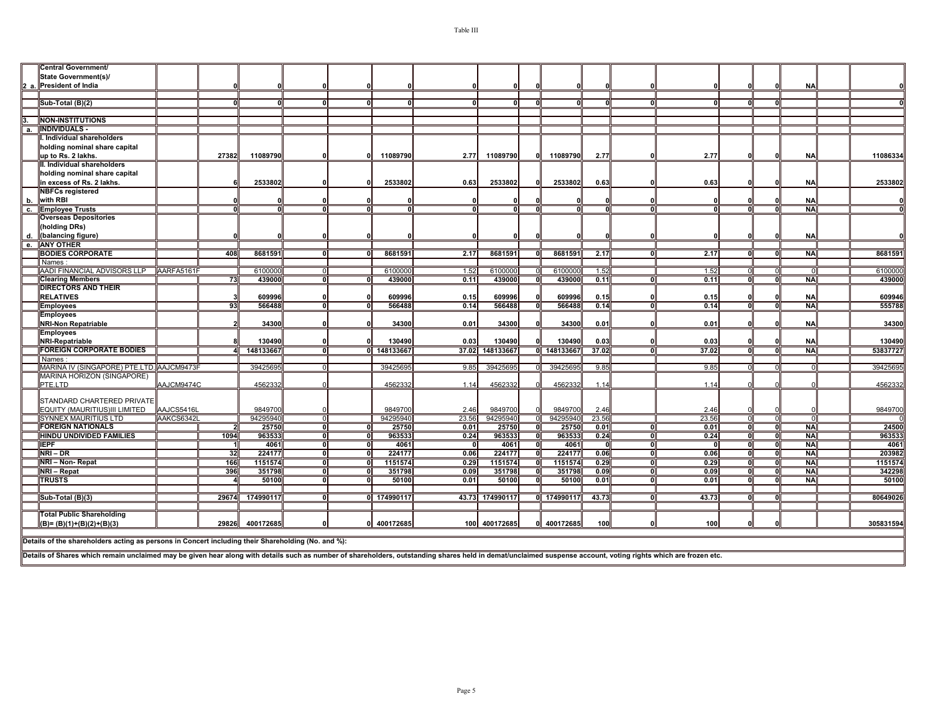| <b>State Government(s)/</b><br>2 a. President of India<br><b>NA</b><br>Sub-Total (B)(2)<br>o<br><b>NON-INSTITUTIONS</b><br>a. INDIVIDUALS -<br>. Individual shareholders<br>holding nominal share capital<br>up to Rs. 2 lakhs.<br>27382<br>11089790<br>11089790<br>11089790<br>2.77<br>2.77<br>11089790<br>2.77<br><b>NA</b><br>01<br>II. Individual shareholders<br>holding nominal share capital<br>2533802<br>2533802<br>2533802<br>2533802<br>0.63<br>0.63<br><b>NA</b><br>in excess of Rs. 2 lakhs.<br>0.63<br><b>NBFCs registered</b><br>b. with RBI<br><b>NA</b><br>c. Employee Trusts<br><b>NA</b><br><b>Overseas Depositories</b><br>holding DRs)<br>d.<br>(balancing figure)<br><b>NA</b><br><b>ANY OTHER</b><br><b>BODIES CORPORATE</b><br>8681591<br>8681591<br>8681591<br>8681591<br>408<br>2.17<br>2.17<br>2.17<br><b>NA</b><br>- 0<br>n<br>Names:<br>AADI FINANCIAL ADVISORS LLP AARFA5161F<br>1.52<br>6100000<br>6100000<br>1.52<br>6100000<br>610000<br>1.52<br>0.11<br>73<br>439000<br>439000<br>0.11<br>439000<br>439000<br>0<br><b>NA</b><br><b>Clearing Members</b><br>0<br>0.11<br><b>DIRECTORS AND THEIR</b><br><b>RELATIVES</b><br>609996<br>609996<br>609996<br>609996<br>0.15<br>0.15<br>0.15<br><b>NA</b><br>93<br>566488<br>566488<br>0.14<br>ਗ਼<br>566488<br>0.14<br>566488<br>0.14<br>0<br><b>NA</b><br><b>Employees</b><br>0<br>$\Omega$<br><b>Employees</b><br>34300<br><b>NRI-Non Repatriable</b><br>34300<br>34300<br>0.01<br>34300<br>0.01<br>0.01<br><b>NA</b><br><b>Employees</b><br>NRI-Repatriable<br>130490<br>130490<br>0.03<br>130490<br>130490<br>0.03<br>0.03<br><b>NA</b><br><b>FOREIGN CORPORATE BODIES</b><br>14813366<br>0 148133667<br>37.02 148133667<br>0 148133667<br>37.02<br>37.02<br><b>NA</b><br>Names<br>39425695<br>MARINA IV (SINGAPORE) PTE.LTD. AAJCM9473F<br>39425695<br>39425695<br>9.85<br>39425695<br>9.85<br>9.85<br><b>MARINA HORIZON (SINGAPORE)</b><br>PTE.LTD<br>AAJCM9474C<br>4562332<br>4562332<br>4562332<br>4562332<br>1.14<br>1.14<br>1.14<br>STANDARD CHARTERED PRIVATE<br>EQUITY (MAURITIUS)III LIMITED<br>AAJCS5416L<br>9849700<br>9849700<br>9849700<br>9849700<br>2.46<br>2.46<br>2.46<br><b>SYNNEX MAURITIUS LTD</b><br>94295940<br>94295940<br>94295940<br>94295940<br>23.56<br>23.56<br>AAKCS6342L<br>23.56<br>$\Omega$<br>$\cap$<br>01<br>$\Omega$<br><b>FOREIGN NATIONALS</b><br>25750<br>25750<br>0.01<br>25750<br>25750<br>0.01<br>0.01<br><b>NA</b><br>n<br>O<br>- 0<br><b>HINDU UNDIVIDED FAMILIES</b><br>96353<br>963533<br>963533<br>1094<br>0.24<br>963533<br>0.24<br>n١<br>0.24<br>ol<br><b>NA</b><br><b>IEPF</b><br>4061<br>4061<br>4061<br>4061<br>0<br><b>NA</b><br>01<br>$\Omega$<br>0.<br>0<br>ΩI<br>NRI – DR<br>32<br>224177<br>224177<br>0.06<br>224177<br>224177<br>0.06<br>n<br>o<br>0.06<br><b>NA</b><br>$\Omega$<br>n١<br>1151574<br>1151574<br>0.29<br>1151574<br>1151574<br>0.29<br>ᇭ<br><b>NA</b><br>NRI - Non-Repat<br>166<br>σT<br>ol<br>0.29<br>$\Omega$<br>0I<br>396<br>351798<br>351798<br>0.09<br>351798<br>351798<br>0.09<br>0.09<br>ᅃ<br><b>NA</b><br>NRI - Repat<br>$\Omega$<br>0<br>01<br>0<br>70<br><b>TRUSTS</b><br>50100<br>50100<br>0.01<br>50100<br>0.01<br>n<br>ΩI<br>n١<br>ΩI<br>50100<br>0.01<br><b>NAI</b><br>43.73 174990117<br>0 174990117<br>Sub-Total (B)(3)<br>29674<br>174990117<br>0 174990117<br>43.73<br>43.73<br>n<br><b>Total Public Shareholding</b> |  |  |  |  |  |  |  |  |          |
|-------------------------------------------------------------------------------------------------------------------------------------------------------------------------------------------------------------------------------------------------------------------------------------------------------------------------------------------------------------------------------------------------------------------------------------------------------------------------------------------------------------------------------------------------------------------------------------------------------------------------------------------------------------------------------------------------------------------------------------------------------------------------------------------------------------------------------------------------------------------------------------------------------------------------------------------------------------------------------------------------------------------------------------------------------------------------------------------------------------------------------------------------------------------------------------------------------------------------------------------------------------------------------------------------------------------------------------------------------------------------------------------------------------------------------------------------------------------------------------------------------------------------------------------------------------------------------------------------------------------------------------------------------------------------------------------------------------------------------------------------------------------------------------------------------------------------------------------------------------------------------------------------------------------------------------------------------------------------------------------------------------------------------------------------------------------------------------------------------------------------------------------------------------------------------------------------------------------------------------------------------------------------------------------------------------------------------------------------------------------------------------------------------------------------------------------------------------------------------------------------------------------------------------------------------------------------------------------------------------------------------------------------------------------------------------------------------------------------------------------------------------------------------------------------------------------------------------------------------------------------------------------------------------------------------------------------------------------------------------------------------------------------------------------------------------------------------------------------------------------------------------------------------------------------------------------------------------------------------------------------------------------------------------------------------------------------------------------------------------------------------------------------|--|--|--|--|--|--|--|--|----------|
| $\Omega$<br>11086334<br>2533802<br>$\Omega$<br>8681591<br>6100000<br>439000<br>609946<br>555788<br>34300<br>130490<br>53837727<br>39425695<br>4562332<br>9849700<br>24500<br>963533<br>4061<br>203982<br>1151574<br>342298<br>50100                                                                                                                                                                                                                                                                                                                                                                                                                                                                                                                                                                                                                                                                                                                                                                                                                                                                                                                                                                                                                                                                                                                                                                                                                                                                                                                                                                                                                                                                                                                                                                                                                                                                                                                                                                                                                                                                                                                                                                                                                                                                                                                                                                                                                                                                                                                                                                                                                                                                                                                                                                                                                                                                                                                                                                                                                                                                                                                                                                                                                                                                                                                                                             |  |  |  |  |  |  |  |  | 80649026 |
|                                                                                                                                                                                                                                                                                                                                                                                                                                                                                                                                                                                                                                                                                                                                                                                                                                                                                                                                                                                                                                                                                                                                                                                                                                                                                                                                                                                                                                                                                                                                                                                                                                                                                                                                                                                                                                                                                                                                                                                                                                                                                                                                                                                                                                                                                                                                                                                                                                                                                                                                                                                                                                                                                                                                                                                                                                                                                                                                                                                                                                                                                                                                                                                                                                                                                                                                                                                                 |  |  |  |  |  |  |  |  |          |
|                                                                                                                                                                                                                                                                                                                                                                                                                                                                                                                                                                                                                                                                                                                                                                                                                                                                                                                                                                                                                                                                                                                                                                                                                                                                                                                                                                                                                                                                                                                                                                                                                                                                                                                                                                                                                                                                                                                                                                                                                                                                                                                                                                                                                                                                                                                                                                                                                                                                                                                                                                                                                                                                                                                                                                                                                                                                                                                                                                                                                                                                                                                                                                                                                                                                                                                                                                                                 |  |  |  |  |  |  |  |  |          |
|                                                                                                                                                                                                                                                                                                                                                                                                                                                                                                                                                                                                                                                                                                                                                                                                                                                                                                                                                                                                                                                                                                                                                                                                                                                                                                                                                                                                                                                                                                                                                                                                                                                                                                                                                                                                                                                                                                                                                                                                                                                                                                                                                                                                                                                                                                                                                                                                                                                                                                                                                                                                                                                                                                                                                                                                                                                                                                                                                                                                                                                                                                                                                                                                                                                                                                                                                                                                 |  |  |  |  |  |  |  |  |          |
|                                                                                                                                                                                                                                                                                                                                                                                                                                                                                                                                                                                                                                                                                                                                                                                                                                                                                                                                                                                                                                                                                                                                                                                                                                                                                                                                                                                                                                                                                                                                                                                                                                                                                                                                                                                                                                                                                                                                                                                                                                                                                                                                                                                                                                                                                                                                                                                                                                                                                                                                                                                                                                                                                                                                                                                                                                                                                                                                                                                                                                                                                                                                                                                                                                                                                                                                                                                                 |  |  |  |  |  |  |  |  |          |
|                                                                                                                                                                                                                                                                                                                                                                                                                                                                                                                                                                                                                                                                                                                                                                                                                                                                                                                                                                                                                                                                                                                                                                                                                                                                                                                                                                                                                                                                                                                                                                                                                                                                                                                                                                                                                                                                                                                                                                                                                                                                                                                                                                                                                                                                                                                                                                                                                                                                                                                                                                                                                                                                                                                                                                                                                                                                                                                                                                                                                                                                                                                                                                                                                                                                                                                                                                                                 |  |  |  |  |  |  |  |  |          |
|                                                                                                                                                                                                                                                                                                                                                                                                                                                                                                                                                                                                                                                                                                                                                                                                                                                                                                                                                                                                                                                                                                                                                                                                                                                                                                                                                                                                                                                                                                                                                                                                                                                                                                                                                                                                                                                                                                                                                                                                                                                                                                                                                                                                                                                                                                                                                                                                                                                                                                                                                                                                                                                                                                                                                                                                                                                                                                                                                                                                                                                                                                                                                                                                                                                                                                                                                                                                 |  |  |  |  |  |  |  |  |          |
|                                                                                                                                                                                                                                                                                                                                                                                                                                                                                                                                                                                                                                                                                                                                                                                                                                                                                                                                                                                                                                                                                                                                                                                                                                                                                                                                                                                                                                                                                                                                                                                                                                                                                                                                                                                                                                                                                                                                                                                                                                                                                                                                                                                                                                                                                                                                                                                                                                                                                                                                                                                                                                                                                                                                                                                                                                                                                                                                                                                                                                                                                                                                                                                                                                                                                                                                                                                                 |  |  |  |  |  |  |  |  |          |
|                                                                                                                                                                                                                                                                                                                                                                                                                                                                                                                                                                                                                                                                                                                                                                                                                                                                                                                                                                                                                                                                                                                                                                                                                                                                                                                                                                                                                                                                                                                                                                                                                                                                                                                                                                                                                                                                                                                                                                                                                                                                                                                                                                                                                                                                                                                                                                                                                                                                                                                                                                                                                                                                                                                                                                                                                                                                                                                                                                                                                                                                                                                                                                                                                                                                                                                                                                                                 |  |  |  |  |  |  |  |  |          |
|                                                                                                                                                                                                                                                                                                                                                                                                                                                                                                                                                                                                                                                                                                                                                                                                                                                                                                                                                                                                                                                                                                                                                                                                                                                                                                                                                                                                                                                                                                                                                                                                                                                                                                                                                                                                                                                                                                                                                                                                                                                                                                                                                                                                                                                                                                                                                                                                                                                                                                                                                                                                                                                                                                                                                                                                                                                                                                                                                                                                                                                                                                                                                                                                                                                                                                                                                                                                 |  |  |  |  |  |  |  |  |          |
|                                                                                                                                                                                                                                                                                                                                                                                                                                                                                                                                                                                                                                                                                                                                                                                                                                                                                                                                                                                                                                                                                                                                                                                                                                                                                                                                                                                                                                                                                                                                                                                                                                                                                                                                                                                                                                                                                                                                                                                                                                                                                                                                                                                                                                                                                                                                                                                                                                                                                                                                                                                                                                                                                                                                                                                                                                                                                                                                                                                                                                                                                                                                                                                                                                                                                                                                                                                                 |  |  |  |  |  |  |  |  |          |
|                                                                                                                                                                                                                                                                                                                                                                                                                                                                                                                                                                                                                                                                                                                                                                                                                                                                                                                                                                                                                                                                                                                                                                                                                                                                                                                                                                                                                                                                                                                                                                                                                                                                                                                                                                                                                                                                                                                                                                                                                                                                                                                                                                                                                                                                                                                                                                                                                                                                                                                                                                                                                                                                                                                                                                                                                                                                                                                                                                                                                                                                                                                                                                                                                                                                                                                                                                                                 |  |  |  |  |  |  |  |  |          |
|                                                                                                                                                                                                                                                                                                                                                                                                                                                                                                                                                                                                                                                                                                                                                                                                                                                                                                                                                                                                                                                                                                                                                                                                                                                                                                                                                                                                                                                                                                                                                                                                                                                                                                                                                                                                                                                                                                                                                                                                                                                                                                                                                                                                                                                                                                                                                                                                                                                                                                                                                                                                                                                                                                                                                                                                                                                                                                                                                                                                                                                                                                                                                                                                                                                                                                                                                                                                 |  |  |  |  |  |  |  |  |          |
|                                                                                                                                                                                                                                                                                                                                                                                                                                                                                                                                                                                                                                                                                                                                                                                                                                                                                                                                                                                                                                                                                                                                                                                                                                                                                                                                                                                                                                                                                                                                                                                                                                                                                                                                                                                                                                                                                                                                                                                                                                                                                                                                                                                                                                                                                                                                                                                                                                                                                                                                                                                                                                                                                                                                                                                                                                                                                                                                                                                                                                                                                                                                                                                                                                                                                                                                                                                                 |  |  |  |  |  |  |  |  |          |
|                                                                                                                                                                                                                                                                                                                                                                                                                                                                                                                                                                                                                                                                                                                                                                                                                                                                                                                                                                                                                                                                                                                                                                                                                                                                                                                                                                                                                                                                                                                                                                                                                                                                                                                                                                                                                                                                                                                                                                                                                                                                                                                                                                                                                                                                                                                                                                                                                                                                                                                                                                                                                                                                                                                                                                                                                                                                                                                                                                                                                                                                                                                                                                                                                                                                                                                                                                                                 |  |  |  |  |  |  |  |  |          |
|                                                                                                                                                                                                                                                                                                                                                                                                                                                                                                                                                                                                                                                                                                                                                                                                                                                                                                                                                                                                                                                                                                                                                                                                                                                                                                                                                                                                                                                                                                                                                                                                                                                                                                                                                                                                                                                                                                                                                                                                                                                                                                                                                                                                                                                                                                                                                                                                                                                                                                                                                                                                                                                                                                                                                                                                                                                                                                                                                                                                                                                                                                                                                                                                                                                                                                                                                                                                 |  |  |  |  |  |  |  |  |          |
|                                                                                                                                                                                                                                                                                                                                                                                                                                                                                                                                                                                                                                                                                                                                                                                                                                                                                                                                                                                                                                                                                                                                                                                                                                                                                                                                                                                                                                                                                                                                                                                                                                                                                                                                                                                                                                                                                                                                                                                                                                                                                                                                                                                                                                                                                                                                                                                                                                                                                                                                                                                                                                                                                                                                                                                                                                                                                                                                                                                                                                                                                                                                                                                                                                                                                                                                                                                                 |  |  |  |  |  |  |  |  |          |
|                                                                                                                                                                                                                                                                                                                                                                                                                                                                                                                                                                                                                                                                                                                                                                                                                                                                                                                                                                                                                                                                                                                                                                                                                                                                                                                                                                                                                                                                                                                                                                                                                                                                                                                                                                                                                                                                                                                                                                                                                                                                                                                                                                                                                                                                                                                                                                                                                                                                                                                                                                                                                                                                                                                                                                                                                                                                                                                                                                                                                                                                                                                                                                                                                                                                                                                                                                                                 |  |  |  |  |  |  |  |  |          |
|                                                                                                                                                                                                                                                                                                                                                                                                                                                                                                                                                                                                                                                                                                                                                                                                                                                                                                                                                                                                                                                                                                                                                                                                                                                                                                                                                                                                                                                                                                                                                                                                                                                                                                                                                                                                                                                                                                                                                                                                                                                                                                                                                                                                                                                                                                                                                                                                                                                                                                                                                                                                                                                                                                                                                                                                                                                                                                                                                                                                                                                                                                                                                                                                                                                                                                                                                                                                 |  |  |  |  |  |  |  |  |          |
|                                                                                                                                                                                                                                                                                                                                                                                                                                                                                                                                                                                                                                                                                                                                                                                                                                                                                                                                                                                                                                                                                                                                                                                                                                                                                                                                                                                                                                                                                                                                                                                                                                                                                                                                                                                                                                                                                                                                                                                                                                                                                                                                                                                                                                                                                                                                                                                                                                                                                                                                                                                                                                                                                                                                                                                                                                                                                                                                                                                                                                                                                                                                                                                                                                                                                                                                                                                                 |  |  |  |  |  |  |  |  |          |
|                                                                                                                                                                                                                                                                                                                                                                                                                                                                                                                                                                                                                                                                                                                                                                                                                                                                                                                                                                                                                                                                                                                                                                                                                                                                                                                                                                                                                                                                                                                                                                                                                                                                                                                                                                                                                                                                                                                                                                                                                                                                                                                                                                                                                                                                                                                                                                                                                                                                                                                                                                                                                                                                                                                                                                                                                                                                                                                                                                                                                                                                                                                                                                                                                                                                                                                                                                                                 |  |  |  |  |  |  |  |  |          |
|                                                                                                                                                                                                                                                                                                                                                                                                                                                                                                                                                                                                                                                                                                                                                                                                                                                                                                                                                                                                                                                                                                                                                                                                                                                                                                                                                                                                                                                                                                                                                                                                                                                                                                                                                                                                                                                                                                                                                                                                                                                                                                                                                                                                                                                                                                                                                                                                                                                                                                                                                                                                                                                                                                                                                                                                                                                                                                                                                                                                                                                                                                                                                                                                                                                                                                                                                                                                 |  |  |  |  |  |  |  |  |          |
|                                                                                                                                                                                                                                                                                                                                                                                                                                                                                                                                                                                                                                                                                                                                                                                                                                                                                                                                                                                                                                                                                                                                                                                                                                                                                                                                                                                                                                                                                                                                                                                                                                                                                                                                                                                                                                                                                                                                                                                                                                                                                                                                                                                                                                                                                                                                                                                                                                                                                                                                                                                                                                                                                                                                                                                                                                                                                                                                                                                                                                                                                                                                                                                                                                                                                                                                                                                                 |  |  |  |  |  |  |  |  |          |
|                                                                                                                                                                                                                                                                                                                                                                                                                                                                                                                                                                                                                                                                                                                                                                                                                                                                                                                                                                                                                                                                                                                                                                                                                                                                                                                                                                                                                                                                                                                                                                                                                                                                                                                                                                                                                                                                                                                                                                                                                                                                                                                                                                                                                                                                                                                                                                                                                                                                                                                                                                                                                                                                                                                                                                                                                                                                                                                                                                                                                                                                                                                                                                                                                                                                                                                                                                                                 |  |  |  |  |  |  |  |  |          |
|                                                                                                                                                                                                                                                                                                                                                                                                                                                                                                                                                                                                                                                                                                                                                                                                                                                                                                                                                                                                                                                                                                                                                                                                                                                                                                                                                                                                                                                                                                                                                                                                                                                                                                                                                                                                                                                                                                                                                                                                                                                                                                                                                                                                                                                                                                                                                                                                                                                                                                                                                                                                                                                                                                                                                                                                                                                                                                                                                                                                                                                                                                                                                                                                                                                                                                                                                                                                 |  |  |  |  |  |  |  |  |          |
|                                                                                                                                                                                                                                                                                                                                                                                                                                                                                                                                                                                                                                                                                                                                                                                                                                                                                                                                                                                                                                                                                                                                                                                                                                                                                                                                                                                                                                                                                                                                                                                                                                                                                                                                                                                                                                                                                                                                                                                                                                                                                                                                                                                                                                                                                                                                                                                                                                                                                                                                                                                                                                                                                                                                                                                                                                                                                                                                                                                                                                                                                                                                                                                                                                                                                                                                                                                                 |  |  |  |  |  |  |  |  |          |
|                                                                                                                                                                                                                                                                                                                                                                                                                                                                                                                                                                                                                                                                                                                                                                                                                                                                                                                                                                                                                                                                                                                                                                                                                                                                                                                                                                                                                                                                                                                                                                                                                                                                                                                                                                                                                                                                                                                                                                                                                                                                                                                                                                                                                                                                                                                                                                                                                                                                                                                                                                                                                                                                                                                                                                                                                                                                                                                                                                                                                                                                                                                                                                                                                                                                                                                                                                                                 |  |  |  |  |  |  |  |  |          |
|                                                                                                                                                                                                                                                                                                                                                                                                                                                                                                                                                                                                                                                                                                                                                                                                                                                                                                                                                                                                                                                                                                                                                                                                                                                                                                                                                                                                                                                                                                                                                                                                                                                                                                                                                                                                                                                                                                                                                                                                                                                                                                                                                                                                                                                                                                                                                                                                                                                                                                                                                                                                                                                                                                                                                                                                                                                                                                                                                                                                                                                                                                                                                                                                                                                                                                                                                                                                 |  |  |  |  |  |  |  |  |          |
|                                                                                                                                                                                                                                                                                                                                                                                                                                                                                                                                                                                                                                                                                                                                                                                                                                                                                                                                                                                                                                                                                                                                                                                                                                                                                                                                                                                                                                                                                                                                                                                                                                                                                                                                                                                                                                                                                                                                                                                                                                                                                                                                                                                                                                                                                                                                                                                                                                                                                                                                                                                                                                                                                                                                                                                                                                                                                                                                                                                                                                                                                                                                                                                                                                                                                                                                                                                                 |  |  |  |  |  |  |  |  |          |
|                                                                                                                                                                                                                                                                                                                                                                                                                                                                                                                                                                                                                                                                                                                                                                                                                                                                                                                                                                                                                                                                                                                                                                                                                                                                                                                                                                                                                                                                                                                                                                                                                                                                                                                                                                                                                                                                                                                                                                                                                                                                                                                                                                                                                                                                                                                                                                                                                                                                                                                                                                                                                                                                                                                                                                                                                                                                                                                                                                                                                                                                                                                                                                                                                                                                                                                                                                                                 |  |  |  |  |  |  |  |  |          |
|                                                                                                                                                                                                                                                                                                                                                                                                                                                                                                                                                                                                                                                                                                                                                                                                                                                                                                                                                                                                                                                                                                                                                                                                                                                                                                                                                                                                                                                                                                                                                                                                                                                                                                                                                                                                                                                                                                                                                                                                                                                                                                                                                                                                                                                                                                                                                                                                                                                                                                                                                                                                                                                                                                                                                                                                                                                                                                                                                                                                                                                                                                                                                                                                                                                                                                                                                                                                 |  |  |  |  |  |  |  |  |          |
|                                                                                                                                                                                                                                                                                                                                                                                                                                                                                                                                                                                                                                                                                                                                                                                                                                                                                                                                                                                                                                                                                                                                                                                                                                                                                                                                                                                                                                                                                                                                                                                                                                                                                                                                                                                                                                                                                                                                                                                                                                                                                                                                                                                                                                                                                                                                                                                                                                                                                                                                                                                                                                                                                                                                                                                                                                                                                                                                                                                                                                                                                                                                                                                                                                                                                                                                                                                                 |  |  |  |  |  |  |  |  |          |
|                                                                                                                                                                                                                                                                                                                                                                                                                                                                                                                                                                                                                                                                                                                                                                                                                                                                                                                                                                                                                                                                                                                                                                                                                                                                                                                                                                                                                                                                                                                                                                                                                                                                                                                                                                                                                                                                                                                                                                                                                                                                                                                                                                                                                                                                                                                                                                                                                                                                                                                                                                                                                                                                                                                                                                                                                                                                                                                                                                                                                                                                                                                                                                                                                                                                                                                                                                                                 |  |  |  |  |  |  |  |  |          |
|                                                                                                                                                                                                                                                                                                                                                                                                                                                                                                                                                                                                                                                                                                                                                                                                                                                                                                                                                                                                                                                                                                                                                                                                                                                                                                                                                                                                                                                                                                                                                                                                                                                                                                                                                                                                                                                                                                                                                                                                                                                                                                                                                                                                                                                                                                                                                                                                                                                                                                                                                                                                                                                                                                                                                                                                                                                                                                                                                                                                                                                                                                                                                                                                                                                                                                                                                                                                 |  |  |  |  |  |  |  |  |          |
|                                                                                                                                                                                                                                                                                                                                                                                                                                                                                                                                                                                                                                                                                                                                                                                                                                                                                                                                                                                                                                                                                                                                                                                                                                                                                                                                                                                                                                                                                                                                                                                                                                                                                                                                                                                                                                                                                                                                                                                                                                                                                                                                                                                                                                                                                                                                                                                                                                                                                                                                                                                                                                                                                                                                                                                                                                                                                                                                                                                                                                                                                                                                                                                                                                                                                                                                                                                                 |  |  |  |  |  |  |  |  |          |
|                                                                                                                                                                                                                                                                                                                                                                                                                                                                                                                                                                                                                                                                                                                                                                                                                                                                                                                                                                                                                                                                                                                                                                                                                                                                                                                                                                                                                                                                                                                                                                                                                                                                                                                                                                                                                                                                                                                                                                                                                                                                                                                                                                                                                                                                                                                                                                                                                                                                                                                                                                                                                                                                                                                                                                                                                                                                                                                                                                                                                                                                                                                                                                                                                                                                                                                                                                                                 |  |  |  |  |  |  |  |  |          |
|                                                                                                                                                                                                                                                                                                                                                                                                                                                                                                                                                                                                                                                                                                                                                                                                                                                                                                                                                                                                                                                                                                                                                                                                                                                                                                                                                                                                                                                                                                                                                                                                                                                                                                                                                                                                                                                                                                                                                                                                                                                                                                                                                                                                                                                                                                                                                                                                                                                                                                                                                                                                                                                                                                                                                                                                                                                                                                                                                                                                                                                                                                                                                                                                                                                                                                                                                                                                 |  |  |  |  |  |  |  |  |          |
|                                                                                                                                                                                                                                                                                                                                                                                                                                                                                                                                                                                                                                                                                                                                                                                                                                                                                                                                                                                                                                                                                                                                                                                                                                                                                                                                                                                                                                                                                                                                                                                                                                                                                                                                                                                                                                                                                                                                                                                                                                                                                                                                                                                                                                                                                                                                                                                                                                                                                                                                                                                                                                                                                                                                                                                                                                                                                                                                                                                                                                                                                                                                                                                                                                                                                                                                                                                                 |  |  |  |  |  |  |  |  |          |
|                                                                                                                                                                                                                                                                                                                                                                                                                                                                                                                                                                                                                                                                                                                                                                                                                                                                                                                                                                                                                                                                                                                                                                                                                                                                                                                                                                                                                                                                                                                                                                                                                                                                                                                                                                                                                                                                                                                                                                                                                                                                                                                                                                                                                                                                                                                                                                                                                                                                                                                                                                                                                                                                                                                                                                                                                                                                                                                                                                                                                                                                                                                                                                                                                                                                                                                                                                                                 |  |  |  |  |  |  |  |  |          |
|                                                                                                                                                                                                                                                                                                                                                                                                                                                                                                                                                                                                                                                                                                                                                                                                                                                                                                                                                                                                                                                                                                                                                                                                                                                                                                                                                                                                                                                                                                                                                                                                                                                                                                                                                                                                                                                                                                                                                                                                                                                                                                                                                                                                                                                                                                                                                                                                                                                                                                                                                                                                                                                                                                                                                                                                                                                                                                                                                                                                                                                                                                                                                                                                                                                                                                                                                                                                 |  |  |  |  |  |  |  |  |          |
|                                                                                                                                                                                                                                                                                                                                                                                                                                                                                                                                                                                                                                                                                                                                                                                                                                                                                                                                                                                                                                                                                                                                                                                                                                                                                                                                                                                                                                                                                                                                                                                                                                                                                                                                                                                                                                                                                                                                                                                                                                                                                                                                                                                                                                                                                                                                                                                                                                                                                                                                                                                                                                                                                                                                                                                                                                                                                                                                                                                                                                                                                                                                                                                                                                                                                                                                                                                                 |  |  |  |  |  |  |  |  |          |
| Central Government/                                                                                                                                                                                                                                                                                                                                                                                                                                                                                                                                                                                                                                                                                                                                                                                                                                                                                                                                                                                                                                                                                                                                                                                                                                                                                                                                                                                                                                                                                                                                                                                                                                                                                                                                                                                                                                                                                                                                                                                                                                                                                                                                                                                                                                                                                                                                                                                                                                                                                                                                                                                                                                                                                                                                                                                                                                                                                                                                                                                                                                                                                                                                                                                                                                                                                                                                                                             |  |  |  |  |  |  |  |  |          |

Page 5